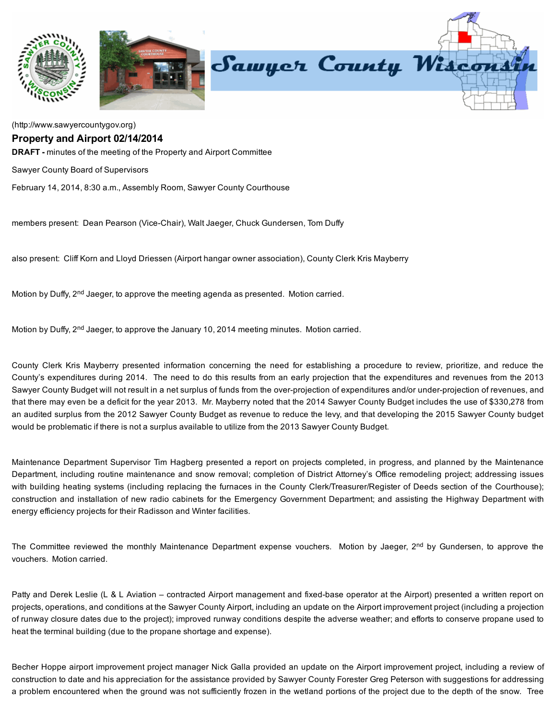

## [\(http://www.sawyercountygov.org\)](http://www.sawyercountygov.org/)

## Property and Airport 02/14/2014

DRAFT - minutes of the meeting of the Property and Airport Committee

Sawyer County Board of Supervisors

February 14, 2014, 8:30 a.m., Assembly Room, Sawyer County Courthouse

members present: Dean Pearson (Vice-Chair), Walt Jaeger, Chuck Gundersen, Tom Duffy

also present: Cliff Korn and Lloyd Driessen (Airport hangar owner association), County Clerk Kris Mayberry

Motion by Duffy,  $2<sup>nd</sup>$  Jaeger, to approve the meeting agenda as presented. Motion carried.

Motion by Duffy, 2<sup>nd</sup> Jaeger, to approve the January 10, 2014 meeting minutes. Motion carried.

County Clerk Kris Mayberry presented information concerning the need for establishing a procedure to review, prioritize, and reduce the County's expenditures during 2014. The need to do this results from an early projection that the expenditures and revenues from the 2013 Sawyer County Budget will not result in a net surplus of funds from the over-projection of expenditures and/or under-projection of revenues, and that there may even be a deficit for the year 2013. Mr. Mayberry noted that the 2014 Sawyer County Budget includes the use of \$330,278 from an audited surplus from the 2012 Sawyer County Budget as revenue to reduce the levy, and that developing the 2015 Sawyer County budget would be problematic if there is not a surplus available to utilize from the 2013 Sawyer County Budget.

Maintenance Department Supervisor Tim Hagberg presented a report on projects completed, in progress, and planned by the Maintenance Department, including routine maintenance and snow removal; completion of District Attorney's Office remodeling project; addressing issues with building heating systems (including replacing the furnaces in the County Clerk/Treasurer/Register of Deeds section of the Courthouse); construction and installation of new radio cabinets for the Emergency Government Department; and assisting the Highway Department with energy efficiency projects for their Radisson and Winter facilities.

The Committee reviewed the monthly Maintenance Department expense vouchers. Motion by Jaeger, 2<sup>nd</sup> by Gundersen, to approve the vouchers. Motion carried.

Patty and Derek Leslie (L & L Aviation – contracted Airport management and fixed-base operator at the Airport) presented a written report on projects, operations, and conditions at the Sawyer County Airport, including an update on the Airport improvement project (including a projection of runway closure dates due to the project); improved runway conditions despite the adverse weather; and efforts to conserve propane used to heat the terminal building (due to the propane shortage and expense).

Becher Hoppe airport improvement project manager Nick Galla provided an update on the Airport improvement project, including a review of construction to date and his appreciation for the assistance provided by Sawyer County Forester Greg Peterson with suggestions for addressing a problem encountered when the ground was not sufficiently frozen in the wetland portions of the project due to the depth of the snow. Tree